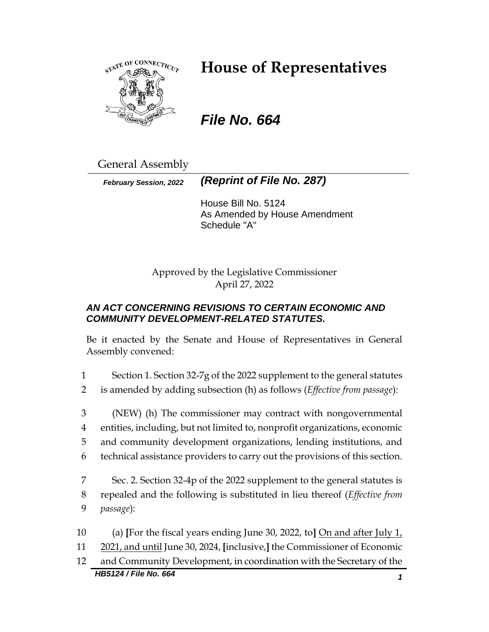

# **House of Representatives**

*File No. 664*

General Assembly

*February Session, 2022 (Reprint of File No. 287)*

House Bill No. 5124 As Amended by House Amendment Schedule "A"

Approved by the Legislative Commissioner April 27, 2022

# *AN ACT CONCERNING REVISIONS TO CERTAIN ECONOMIC AND COMMUNITY DEVELOPMENT-RELATED STATUTES.*

Be it enacted by the Senate and House of Representatives in General Assembly convened:

1 Section 1. Section 32-7g of the 2022 supplement to the general statutes

2 is amended by adding subsection (h) as follows (*Effective from passage*):

 (NEW) (h) The commissioner may contract with nongovernmental entities, including, but not limited to, nonprofit organizations, economic and community development organizations, lending institutions, and technical assistance providers to carry out the provisions of this section.

7 Sec. 2. Section 32-4p of the 2022 supplement to the general statutes is 8 repealed and the following is substituted in lieu thereof (*Effective from*  9 *passage*):

10 (a) **[**For the fiscal years ending June 30, 2022, to**]** On and after July 1, 11 2021, and until June 30, 2024, **[**inclusive,**]** the Commissioner of Economic

*HB5124 / File No. 664 1* 12 and Community Development, in coordination with the Secretary of the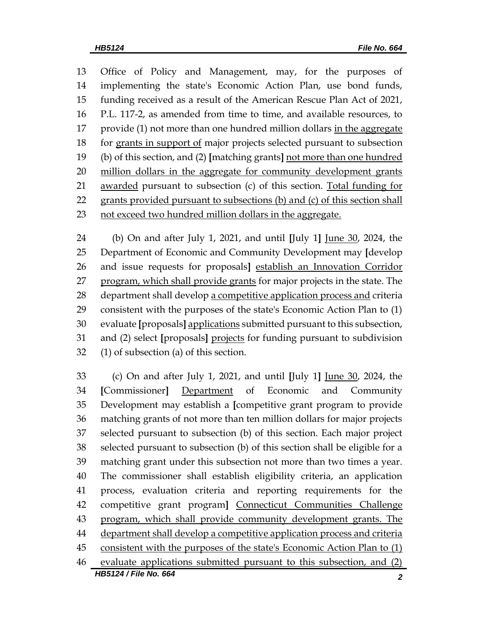Office of Policy and Management, may, for the purposes of implementing the state's Economic Action Plan, use bond funds, funding received as a result of the American Rescue Plan Act of 2021, P.L. 117-2, as amended from time to time, and available resources, to provide (1) not more than one hundred million dollars in the aggregate for grants in support of major projects selected pursuant to subsection (b) of this section, and (2) **[**matching grants**]** not more than one hundred million dollars in the aggregate for community development grants 21 awarded pursuant to subsection (c) of this section. Total funding for grants provided pursuant to subsections (b) and (c) of this section shall not exceed two hundred million dollars in the aggregate.

 (b) On and after July 1, 2021, and until **[**July 1**]** June 30, 2024, the Department of Economic and Community Development may **[**develop and issue requests for proposals**]** establish an Innovation Corridor 27 program, which shall provide grants for major projects in the state. The department shall develop a competitive application process and criteria consistent with the purposes of the state's Economic Action Plan to (1) evaluate **[**proposals**]** applications submitted pursuant to this subsection, and (2) select **[**proposals**]** projects for funding pursuant to subdivision (1) of subsection (a) of this section.

*HB5124 / File No. 664 2* (c) On and after July 1, 2021, and until **[**July 1**]** June 30, 2024, the **[**Commissioner**]** Department of Economic and Community Development may establish a **[**competitive grant program to provide matching grants of not more than ten million dollars for major projects selected pursuant to subsection (b) of this section. Each major project selected pursuant to subsection (b) of this section shall be eligible for a matching grant under this subsection not more than two times a year. The commissioner shall establish eligibility criteria, an application process, evaluation criteria and reporting requirements for the competitive grant program**]** Connecticut Communities Challenge program, which shall provide community development grants. The 44 department shall develop a competitive application process and criteria consistent with the purposes of the state's Economic Action Plan to (1) evaluate applications submitted pursuant to this subsection, and (2)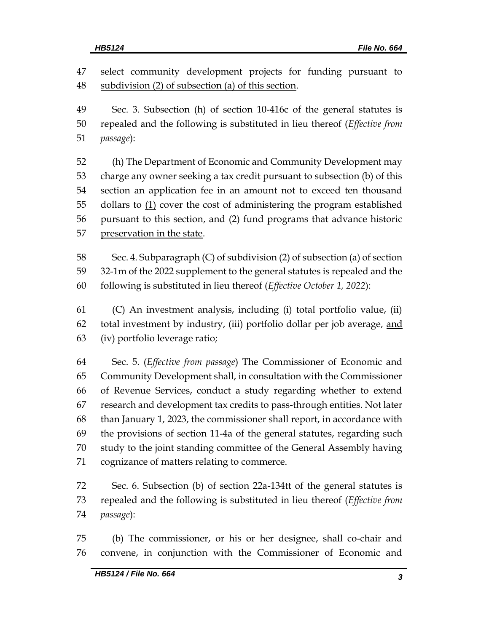47 select community development projects for funding pursuant to subdivision (2) of subsection (a) of this section.

 Sec. 3. Subsection (h) of section 10-416c of the general statutes is repealed and the following is substituted in lieu thereof (*Effective from passage*):

 (h) The Department of Economic and Community Development may charge any owner seeking a tax credit pursuant to subsection (b) of this section an application fee in an amount not to exceed ten thousand 55 dollars to  $(1)$  cover the cost of administering the program established pursuant to this section, and (2) fund programs that advance historic preservation in the state.

 Sec. 4. Subparagraph (C) of subdivision (2) of subsection (a) of section 32-1m of the 2022 supplement to the general statutes is repealed and the following is substituted in lieu thereof (*Effective October 1, 2022*):

 (C) An investment analysis, including (i) total portfolio value, (ii) total investment by industry, (iii) portfolio dollar per job average, and (iv) portfolio leverage ratio;

 Sec. 5. (*Effective from passage*) The Commissioner of Economic and Community Development shall, in consultation with the Commissioner of Revenue Services, conduct a study regarding whether to extend research and development tax credits to pass-through entities. Not later than January 1, 2023, the commissioner shall report, in accordance with the provisions of section 11-4a of the general statutes, regarding such study to the joint standing committee of the General Assembly having cognizance of matters relating to commerce.

 Sec. 6. Subsection (b) of section 22a-134tt of the general statutes is repealed and the following is substituted in lieu thereof (*Effective from passage*):

 (b) The commissioner, or his or her designee, shall co-chair and convene, in conjunction with the Commissioner of Economic and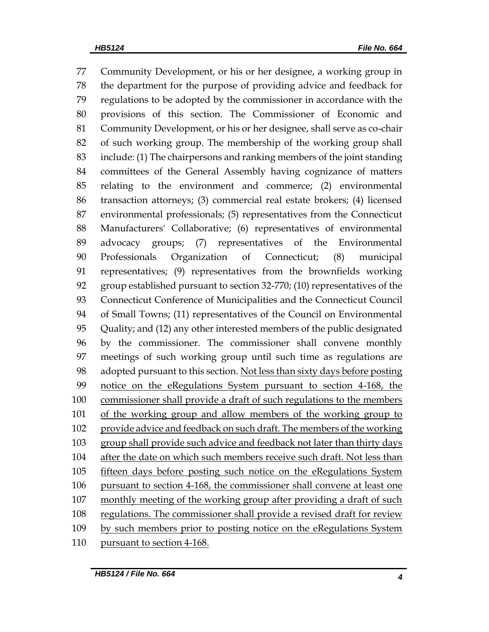Community Development, or his or her designee, a working group in the department for the purpose of providing advice and feedback for regulations to be adopted by the commissioner in accordance with the provisions of this section. The Commissioner of Economic and Community Development, or his or her designee, shall serve as co-chair of such working group. The membership of the working group shall include: (1) The chairpersons and ranking members of the joint standing committees of the General Assembly having cognizance of matters relating to the environment and commerce; (2) environmental transaction attorneys; (3) commercial real estate brokers; (4) licensed environmental professionals; (5) representatives from the Connecticut Manufacturers' Collaborative; (6) representatives of environmental advocacy groups; (7) representatives of the Environmental Professionals Organization of Connecticut; (8) municipal representatives; (9) representatives from the brownfields working group established pursuant to section 32-770; (10) representatives of the Connecticut Conference of Municipalities and the Connecticut Council of Small Towns; (11) representatives of the Council on Environmental Quality; and (12) any other interested members of the public designated by the commissioner. The commissioner shall convene monthly meetings of such working group until such time as regulations are adopted pursuant to this section. Not less than sixty days before posting notice on the eRegulations System pursuant to section 4-168, the commissioner shall provide a draft of such regulations to the members of the working group and allow members of the working group to provide advice and feedback on such draft. The members of the working 103 group shall provide such advice and feedback not later than thirty days after the date on which such members receive such draft. Not less than fifteen days before posting such notice on the eRegulations System pursuant to section 4-168, the commissioner shall convene at least one 107 monthly meeting of the working group after providing a draft of such regulations. The commissioner shall provide a revised draft for review by such members prior to posting notice on the eRegulations System pursuant to section 4-168.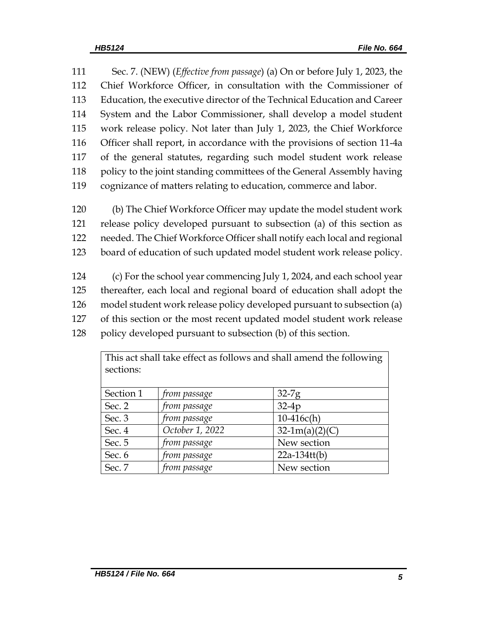Sec. 7. (NEW) (*Effective from passage*) (a) On or before July 1, 2023, the Chief Workforce Officer, in consultation with the Commissioner of Education, the executive director of the Technical Education and Career System and the Labor Commissioner, shall develop a model student work release policy. Not later than July 1, 2023, the Chief Workforce Officer shall report, in accordance with the provisions of section 11-4a of the general statutes, regarding such model student work release 118 policy to the joint standing committees of the General Assembly having cognizance of matters relating to education, commerce and labor.

 (b) The Chief Workforce Officer may update the model student work release policy developed pursuant to subsection (a) of this section as needed. The Chief Workforce Officer shall notify each local and regional board of education of such updated model student work release policy.

 (c) For the school year commencing July 1, 2024, and each school year thereafter, each local and regional board of education shall adopt the model student work release policy developed pursuant to subsection (a) of this section or the most recent updated model student work release policy developed pursuant to subsection (b) of this section.

| THIS act Shall take chect as follows and shall alliend the following<br>sections: |                 |                  |  |  |
|-----------------------------------------------------------------------------------|-----------------|------------------|--|--|
| Section 1                                                                         | from passage    | $32-7g$          |  |  |
| Sec. 2                                                                            | from passage    | $32-4p$          |  |  |
| Sec. 3                                                                            | from passage    | $10-416c(h)$     |  |  |
| Sec. 4                                                                            | October 1, 2022 | $32-1m(a)(2)(C)$ |  |  |
| Sec. 5                                                                            | from passage    | New section      |  |  |
| Sec. 6                                                                            | from passage    | $22a-134tt(b)$   |  |  |
| Sec. 7                                                                            | from passage    | New section      |  |  |

This act shall take effect as follows and shall amend the following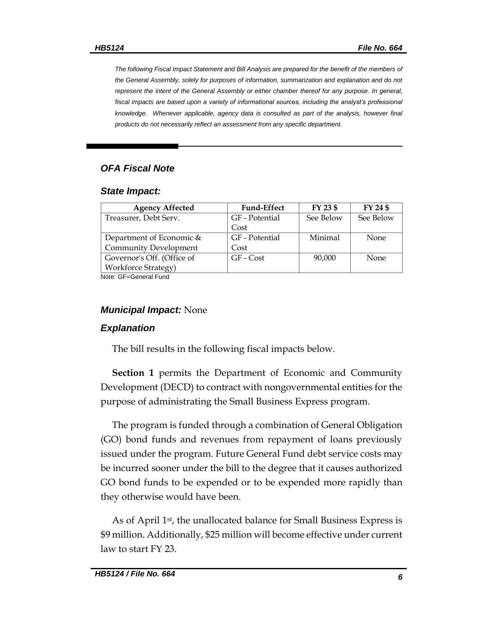*The following Fiscal Impact Statement and Bill Analysis are prepared for the benefit of the members of the General Assembly, solely for purposes of information, summarization and explanation and do not represent the intent of the General Assembly or either chamber thereof for any purpose. In general, fiscal impacts are based upon a variety of informational sources, including the analyst's professional knowledge. Whenever applicable, agency data is consulted as part of the analysis, however final products do not necessarily reflect an assessment from any specific department.*

## *OFA Fiscal Note*

#### *State Impact:*

| <b>Agency Affected</b>       | <b>Fund-Effect</b> | FY 23 \$  | FY 24 \$    |  |
|------------------------------|--------------------|-----------|-------------|--|
| Treasurer, Debt Serv.        | GF - Potential     | See Below | See Below   |  |
|                              | Cost               |           |             |  |
| Department of Economic &     | GF - Potential     | Minimal   | <b>None</b> |  |
| <b>Community Development</b> | Cost               |           |             |  |
| Governor's Off. (Office of   | GF - Cost          | 90,000    | <b>None</b> |  |
| <b>Workforce Strategy</b> )  |                    |           |             |  |
| Noto: CE-Conoral Eund        |                    |           |             |  |

Note: GF=General Fund

#### *Municipal Impact:* None

#### *Explanation*

The bill results in the following fiscal impacts below.

**Section 1** permits the Department of Economic and Community Development (DECD) to contract with nongovernmental entities for the purpose of administrating the Small Business Express program.

The program is funded through a combination of General Obligation (GO) bond funds and revenues from repayment of loans previously issued under the program. Future General Fund debt service costs may be incurred sooner under the bill to the degree that it causes authorized GO bond funds to be expended or to be expended more rapidly than they otherwise would have been.

As of April 1<sup>st</sup>, the unallocated balance for Small Business Express is \$9 million. Additionally, \$25 million will become effective under current law to start FY 23.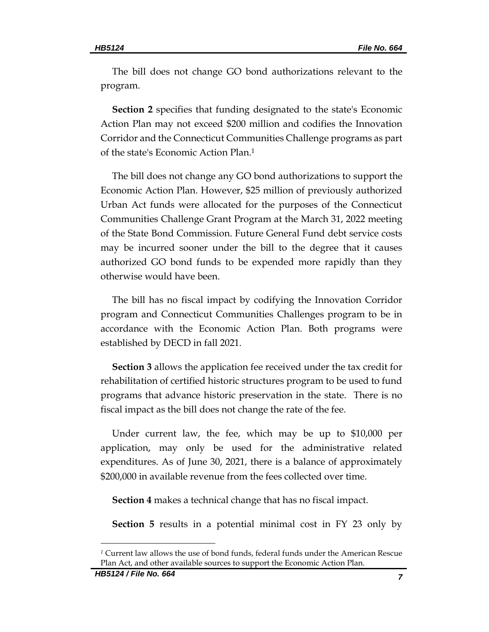The bill does not change GO bond authorizations relevant to the program.

**Section 2** specifies that funding designated to the state's Economic Action Plan may not exceed \$200 million and codifies the Innovation Corridor and the Connecticut Communities Challenge programs as part of the state's Economic Action Plan.<sup>1</sup>

The bill does not change any GO bond authorizations to support the Economic Action Plan. However, \$25 million of previously authorized Urban Act funds were allocated for the purposes of the Connecticut Communities Challenge Grant Program at the March 31, 2022 meeting of the State Bond Commission. Future General Fund debt service costs may be incurred sooner under the bill to the degree that it causes authorized GO bond funds to be expended more rapidly than they otherwise would have been.

The bill has no fiscal impact by codifying the Innovation Corridor program and Connecticut Communities Challenges program to be in accordance with the Economic Action Plan. Both programs were established by DECD in fall 2021.

**Section 3** allows the application fee received under the tax credit for rehabilitation of certified historic structures program to be used to fund programs that advance historic preservation in the state. There is no fiscal impact as the bill does not change the rate of the fee.

Under current law, the fee, which may be up to \$10,000 per application, may only be used for the administrative related expenditures. As of June 30, 2021, there is a balance of approximately \$200,000 in available revenue from the fees collected over time.

**Section 4** makes a technical change that has no fiscal impact.

**Section 5** results in a potential minimal cost in FY 23 only by

*<sup>1</sup>* Current law allows the use of bond funds, federal funds under the American Rescue Plan Act, and other available sources to support the Economic Action Plan.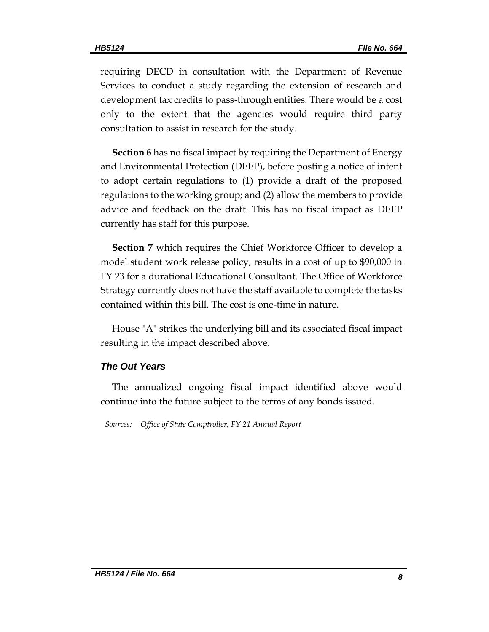requiring DECD in consultation with the Department of Revenue Services to conduct a study regarding the extension of research and development tax credits to pass-through entities. There would be a cost only to the extent that the agencies would require third party consultation to assist in research for the study.

**Section 6** has no fiscal impact by requiring the Department of Energy and Environmental Protection (DEEP), before posting a notice of intent to adopt certain regulations to (1) provide a draft of the proposed regulations to the working group; and (2) allow the members to provide advice and feedback on the draft. This has no fiscal impact as DEEP currently has staff for this purpose.

**Section 7** which requires the Chief Workforce Officer to develop a model student work release policy, results in a cost of up to \$90,000 in FY 23 for a durational Educational Consultant. The Office of Workforce Strategy currently does not have the staff available to complete the tasks contained within this bill. The cost is one-time in nature.

House "A" strikes the underlying bill and its associated fiscal impact resulting in the impact described above.

#### *The Out Years*

The annualized ongoing fiscal impact identified above would continue into the future subject to the terms of any bonds issued.

*Sources: Office of State Comptroller, FY 21 Annual Report*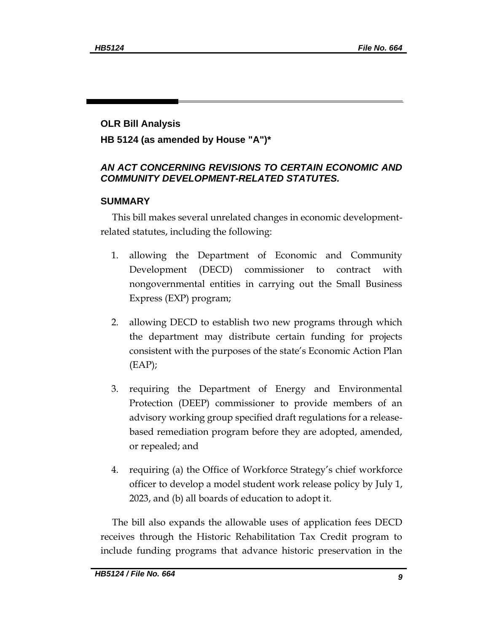## **OLR Bill Analysis**

**HB 5124 (as amended by House "A")\***

# *AN ACT CONCERNING REVISIONS TO CERTAIN ECONOMIC AND COMMUNITY DEVELOPMENT-RELATED STATUTES.*

## **SUMMARY**

This bill makes several unrelated changes in economic developmentrelated statutes, including the following:

- 1. allowing the Department of Economic and Community Development (DECD) commissioner to contract with nongovernmental entities in carrying out the Small Business Express (EXP) program;
- 2. allowing DECD to establish two new programs through which the department may distribute certain funding for projects consistent with the purposes of the state's Economic Action Plan  $(EAP)$ ;
- 3. requiring the Department of Energy and Environmental Protection (DEEP) commissioner to provide members of an advisory working group specified draft regulations for a releasebased remediation program before they are adopted, amended, or repealed; and
- 4. requiring (a) the Office of Workforce Strategy's chief workforce officer to develop a model student work release policy by July 1, 2023, and (b) all boards of education to adopt it.

The bill also expands the allowable uses of application fees DECD receives through the Historic Rehabilitation Tax Credit program to include funding programs that advance historic preservation in the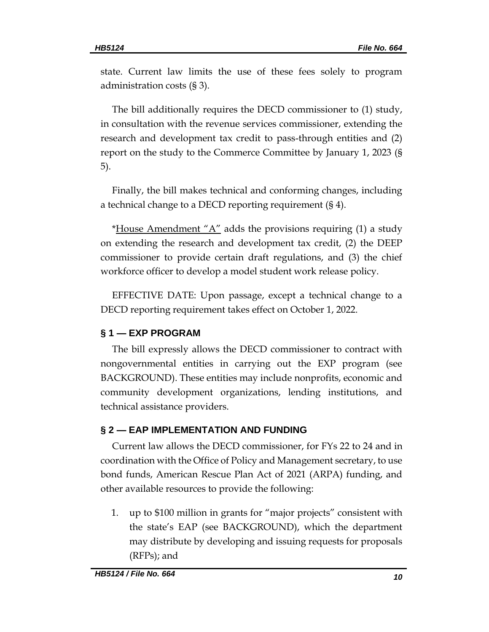state. Current law limits the use of these fees solely to program administration costs (§ 3).

The bill additionally requires the DECD commissioner to (1) study, in consultation with the revenue services commissioner, extending the research and development tax credit to pass-through entities and (2) report on the study to the Commerce Committee by January 1, 2023 (§ 5).

Finally, the bill makes technical and conforming changes, including a technical change to a DECD reporting requirement (§ 4).

\*House Amendment "A" adds the provisions requiring (1) a study on extending the research and development tax credit, (2) the DEEP commissioner to provide certain draft regulations, and (3) the chief workforce officer to develop a model student work release policy.

EFFECTIVE DATE: Upon passage, except a technical change to a DECD reporting requirement takes effect on October 1, 2022.

# **§ 1 — EXP PROGRAM**

The bill expressly allows the DECD commissioner to contract with nongovernmental entities in carrying out the EXP program (see BACKGROUND). These entities may include nonprofits, economic and community development organizations, lending institutions, and technical assistance providers.

# **§ 2 — EAP IMPLEMENTATION AND FUNDING**

Current law allows the DECD commissioner, for FYs 22 to 24 and in coordination with the Office of Policy and Management secretary, to use bond funds, American Rescue Plan Act of 2021 (ARPA) funding, and other available resources to provide the following:

1. up to \$100 million in grants for "major projects" consistent with the state's EAP (see BACKGROUND), which the department may distribute by developing and issuing requests for proposals (RFPs); and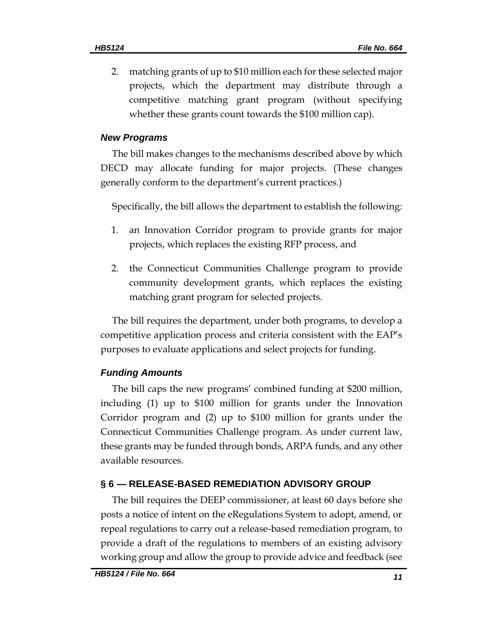2. matching grants of up to \$10 million each for these selected major projects, which the department may distribute through a competitive matching grant program (without specifying whether these grants count towards the \$100 million cap).

## *New Programs*

The bill makes changes to the mechanisms described above by which DECD may allocate funding for major projects. (These changes generally conform to the department's current practices.)

Specifically, the bill allows the department to establish the following:

- 1. an Innovation Corridor program to provide grants for major projects, which replaces the existing RFP process, and
- 2. the Connecticut Communities Challenge program to provide community development grants, which replaces the existing matching grant program for selected projects.

The bill requires the department, under both programs, to develop a competitive application process and criteria consistent with the EAP's purposes to evaluate applications and select projects for funding.

# *Funding Amounts*

The bill caps the new programs' combined funding at \$200 million, including (1) up to \$100 million for grants under the Innovation Corridor program and (2) up to \$100 million for grants under the Connecticut Communities Challenge program. As under current law, these grants may be funded through bonds, ARPA funds, and any other available resources.

# **§ 6 — RELEASE-BASED REMEDIATION ADVISORY GROUP**

The bill requires the DEEP commissioner, at least 60 days before she posts a notice of intent on the eRegulations System to adopt, amend, or repeal regulations to carry out a release-based remediation program, to provide a draft of the regulations to members of an existing advisory working group and allow the group to provide advice and feedback (see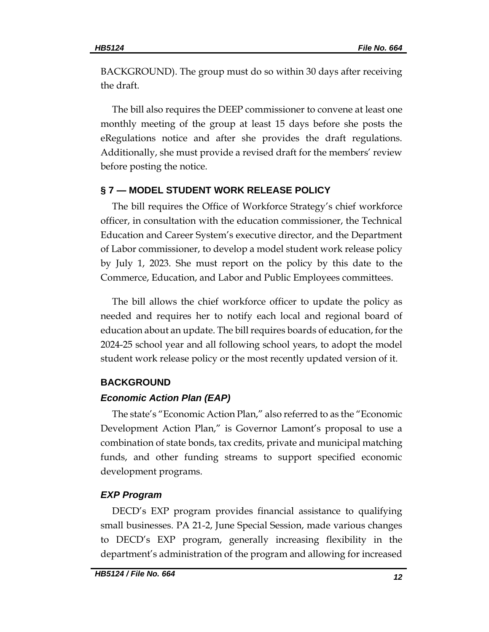BACKGROUND). The group must do so within 30 days after receiving the draft.

The bill also requires the DEEP commissioner to convene at least one monthly meeting of the group at least 15 days before she posts the eRegulations notice and after she provides the draft regulations. Additionally, she must provide a revised draft for the members' review before posting the notice.

## **§ 7 — MODEL STUDENT WORK RELEASE POLICY**

The bill requires the Office of Workforce Strategy's chief workforce officer, in consultation with the education commissioner, the Technical Education and Career System's executive director, and the Department of Labor commissioner, to develop a model student work release policy by July 1, 2023. She must report on the policy by this date to the Commerce, Education, and Labor and Public Employees committees.

The bill allows the chief workforce officer to update the policy as needed and requires her to notify each local and regional board of education about an update. The bill requires boards of education, for the 2024-25 school year and all following school years, to adopt the model student work release policy or the most recently updated version of it.

## **BACKGROUND**

## *Economic Action Plan (EAP)*

The state's "Economic Action Plan," also referred to as the "Economic Development Action Plan," is Governor Lamont's proposal to use a combination of state bonds, tax credits, private and municipal matching funds, and other funding streams to support specified economic development programs.

# *EXP Program*

DECD's EXP program provides financial assistance to qualifying small businesses. PA 21-2, June Special Session, made various changes to DECD's EXP program, generally increasing flexibility in the department's administration of the program and allowing for increased